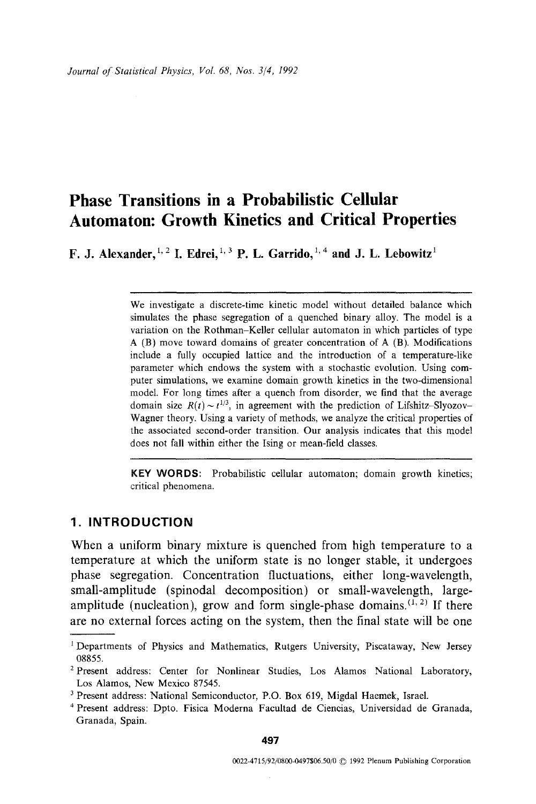# **Phase Transitions in a Probabilistic Cellular Automaton: Growth Kinetics and Critical Properties**

**F. J. Alexander,**  $^{1,2}$  **I. Edrei,**  $^{1,3}$  **P. L. Garrido,**  $^{1,4}$  **and J. L. Lebowitz<sup>1</sup>** 

We investigate a discrete-time kinetic model without detailed balance which simulates the phase segregation of a quenched binary alloy. The model is a variation on the Rothman-Keller cellular automaton in which particles of type A (B) move toward domains of greater concentration of A (B). Modifications include a fully occupied lattice and the introduction of a temperature-like parameter which endows the system with a stochastic evolution. Using computer simulations, we examine domain growth kinetics in the two-dimensional model. For long times after a quench from disorder, we find that the average domain size  $R(t) \sim t^{1/3}$ , in agreement with the prediction of Lifshitz-Slyozov-Wagner theory. Using a variety of methods, we analyze the critical properties of the associated second-order transition. Our analysis indicates that this model does not fall within either the Ising or mean-field classes.

**KEY WORDS:** Probabilistic cellular automaton; domain growth kinetics; critical phenomena.

# **1. INTRODUCTION**

When a uniform binary mixture is quenched from high temperature to a temperature at which the uniform state is no longer stable, it undergoes phase segregation. Concentration fluctuations, either long-wavelength, small-amplitude (spinodal decomposition) or small-wavelength, largeamplitude (nucleation), grow and form single-phase domains.  $(1, 2)$  If there are no external forces acting on the system, then the final state will be one

<sup>1</sup>Departments of Physics and Mathematics, Rutgers University, Piscataway, New Jersey 08855.

<sup>&</sup>lt;sup>2</sup> Present address: Center for Nonlinear Studies, Los Alamos National Laboratory, Los Alamos, New Mexico 87545.

<sup>3</sup> Present address: National Semiconductor, P.O. Box 619, Migdal Haemek, Israel.

<sup>4</sup> Present address: Dpto. Fisica Moderna Facultad de Cieneias, Universidad de Granada, Granada, Spain.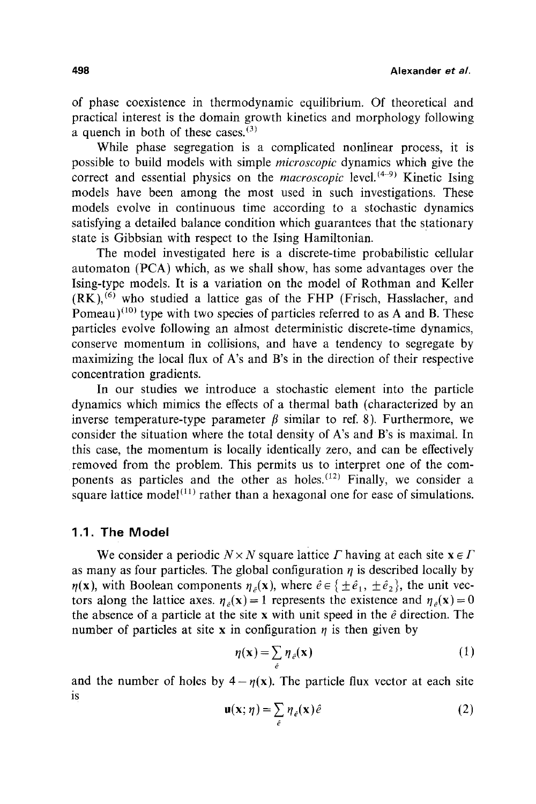of phase coexistence in thermodynamic equilibrium. Of theoretical and practical interest is the domain growth kinetics and morphology following a quench in both of these cases.  $(3)$ 

While phase segregation is a complicated nonlinear process, it is possible to build models with simple *microscopic* dynamics which give the correct and essential physics on the *macroscopic* level. (4-9) Kinetic Ising models have been among the most used in such investigations. These models evolve in continuous time according to a stochastic dynamics satisfying a detailed balance condition which guarantees that the stationary state is Gibbsian with respect to the Ising Hamiltonian.

The model investigated here is a discrete-time probabilistic cellular automaton (PCA) which, as we shall show, has some advantages over the Ising-type models. It is a variation on the model of Rothman and Keller  $(RK)$ , <sup>(6)</sup> who studied a lattice gas of the FHP (Frisch, Hasslacher, and Pomeau)<sup>(10)</sup> type with two species of particles referred to as A and B. These particles evolve following an almost deterministic discrete-time dynamics, conserve momentum in collisions, and have a tendency to segregate by maximizing the local flux of A's and B's in the direction of their respective concentration gradients.

In our studies we introduce a stochastic element into the particle dynamics which mimics the effects of a thermal bath (characterized by an inverse temperature-type parameter  $\beta$  similar to ref. 8). Furthermore, we consider the situation where the total density of A's and B's is maximal. In this case, the momentum is locally identically zero, and can be effectively removed from the problem. This permits us to interpret one of the components as particles and the other as holes.  $(12)$  Finally, we consider a square lattice model<sup> $(11)$ </sup> rather than a hexagonal one for ease of simulations.

# **1.1. The Model**

We consider a periodic  $N \times N$  square lattice  $\Gamma$  having at each site  $x \in \Gamma$ as many as four particles. The global configuration  $\eta$  is described locally by  $\eta(x)$ , with Boolean components  $\eta_a(x)$ , where  $\hat{e} \in {\pm \hat{e}_1, \pm \hat{e}_2}$ , the unit vectors along the lattice axes.  $\eta_a(\mathbf{x}) = 1$  represents the existence and  $\eta_a(\mathbf{x}) = 0$ the absence of a particle at the site x with unit speed in the  $\hat{e}$  direction. The number of particles at site x in configuration  $\eta$  is then given by

$$
\eta(\mathbf{x}) = \sum_{\hat{e}} \eta_{\hat{e}}(\mathbf{x}) \tag{1}
$$

and the number of holes by  $4 - \eta(x)$ . The particle flux vector at each site is

$$
\mathbf{u}(\mathbf{x};\,\eta) = \sum_{\hat{e}} \eta_{\hat{e}}(\mathbf{x}) \hat{e}
$$
 (2)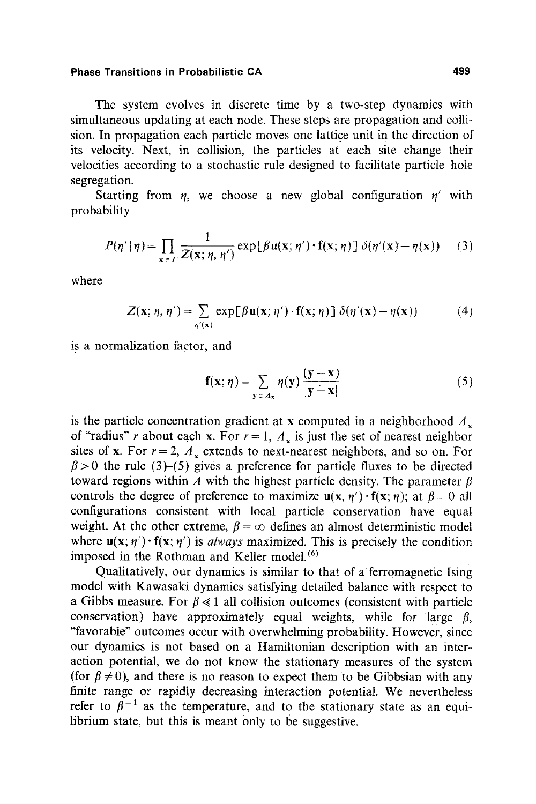The system evolves in discrete time by a two-step dynamics with simultaneous updating at each node. These steps are propagation and collision. In propagation each particle moves one lattice unit in the direction of its velocity. Next, in collision, the particles at each site change their velocities according to a stochastic rule designed to facilitate particle-hole segregation.

Starting from  $\eta$ , we choose a new global configuration  $\eta'$  with probability

$$
P(\eta' | \eta) = \prod_{\mathbf{x} \in \Gamma} \frac{1}{Z(\mathbf{x}; \eta, \eta')} \exp[\beta \mathbf{u}(\mathbf{x}; \eta') \cdot \mathbf{f}(\mathbf{x}; \eta)] \delta(\eta'(\mathbf{x}) - \eta(\mathbf{x})) \quad (3)
$$

where

$$
Z(\mathbf{x}; \eta, \eta') = \sum_{\eta'(\mathbf{x})} \exp[\beta \mathbf{u}(\mathbf{x}; \eta') \cdot \mathbf{f}(\mathbf{x}; \eta)] \delta(\eta'(\mathbf{x}) - \eta(\mathbf{x})) \tag{4}
$$

is a normalization factor, and

$$
\mathbf{f}(\mathbf{x};\eta) = \sum_{\mathbf{y} \in A_{\mathbf{x}}} \eta(\mathbf{y}) \frac{(\mathbf{y} - \mathbf{x})}{|\mathbf{y} - \mathbf{x}|}
$$
(5)

is the particle concentration gradient at x computed in a neighborhood  $A_x$ of "radius" r about each x. For  $r = 1$ ,  $\Lambda_r$  is just the set of nearest neighbor sites of x. For  $r = 2$ ,  $\Lambda_r$  extends to next-nearest neighbors, and so on. For  $\beta$  > 0 the rule (3)-(5) gives a preference for particle fluxes to be directed toward regions within A with the highest particle density. The parameter  $\beta$ controls the degree of preference to maximize  $u(x, \eta') \cdot f(x; \eta)$ ; at  $\beta = 0$  all configurations consistent with local particle conservation have equal weight. At the other extreme,  $\beta = \infty$  defines an almost deterministic model where  $\mathbf{u}(\mathbf{x}; \eta') \cdot \mathbf{f}(\mathbf{x}; \eta')$  is *always* maximized. This is precisely the condition imposed in the Rothman and Keller model.<sup>(6)</sup>

Qualitatively, our dynamics is similar to that of a ferromagnetic Ising model with Kawasaki dynamics satisfying detailed balance with respect to a Gibbs measure. For  $\beta \ll 1$  all collision outcomes (consistent with particle conservation) have approximately equal weights, while for large  $\beta$ , "favorable" outcomes occur with overwhelming probability. However, since our dynamics is not based on a Hamiltonian description with an interaction potential, we do not know the stationary measures of the system (for  $\beta \neq 0$ ), and there is no reason to expect them to be Gibbsian with any finite range or rapidly decreasing interaction potential. We nevertheless refer to  $\beta^{-1}$  as the temperature, and to the stationary state as an equilibrium state, but this is meant only to be suggestive.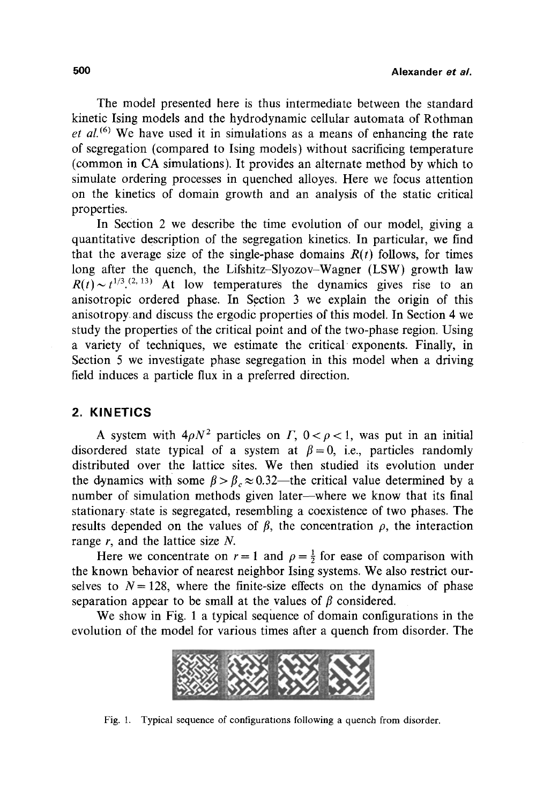The model presented here is thus intermediate between the standard kinetic Ising models and the hydrodynamic cellular automata of Rothman *et aL (6)* We have used it in simulations as a means of enhancing the rate of segregation (compared to Ising models) without sacrificing temperature (common in CA simulations). It provides an alternate method by which to simulate ordering processes in quenched alloyes. Here we focus attention on the kinetics of domain growth and an analysis of the static critical properties.

In Section 2 we describe the time evolution of our model, giving a quantitative description of the segregation kinetics. In particular, we find that the average size of the single-phase domains  $R(t)$  follows, for times long after the quench, the Lifshitz-Slyozov-Wagner (LSW) growth law  $R(t) \sim t^{1/3}$ . <sup>(2, 13)</sup> At low temperatures the dynamics gives rise to an anisotropic ordered phase. In Section 3 we explain the origin of this anisotropy, and discuss the ergodic properties of this model. In Section 4 we study the properties of the critical point and of the two-phase region. Using a variety of techniques, we estimate the critical exponents. Finally, in Section 5 we investigate phase segregation in this model when a driving field induces a particle flux in a preferred direction.

#### **2. KINETICS**

A system with  $4\rho N^2$  particles on  $\Gamma$ ,  $0 < \rho < 1$ , was put in an initial disordered state typical of a system at  $\beta=0$ , i.e., particles randomly distributed over the lattice sites. We then studied its evolution under the dynamics with some  $\beta > \beta_c \approx 0.32$ —the critical value determined by a number of simulation methods given later—where we know that its final stationary state is segregated, resembling a coexistence of two phases. The results depended on the values of  $\beta$ , the concentration  $\rho$ , the interaction range  $r$ , and the lattice size  $N$ .

Here we concentrate on  $r = 1$  and  $\rho = \frac{1}{2}$  for ease of comparison with the known behavior of nearest neighbor Ising systems. We also restrict ourselves to  $N = 128$ , where the finite-size effects on the dynamics of phase separation appear to be small at the values of  $\beta$  considered.

We show in Fig. 1 a typical sequence of domain configurations in the evolution of the model for various times after a quench from disorder. The



Fig. 1. Typical sequence of configurations following a quench from disorder.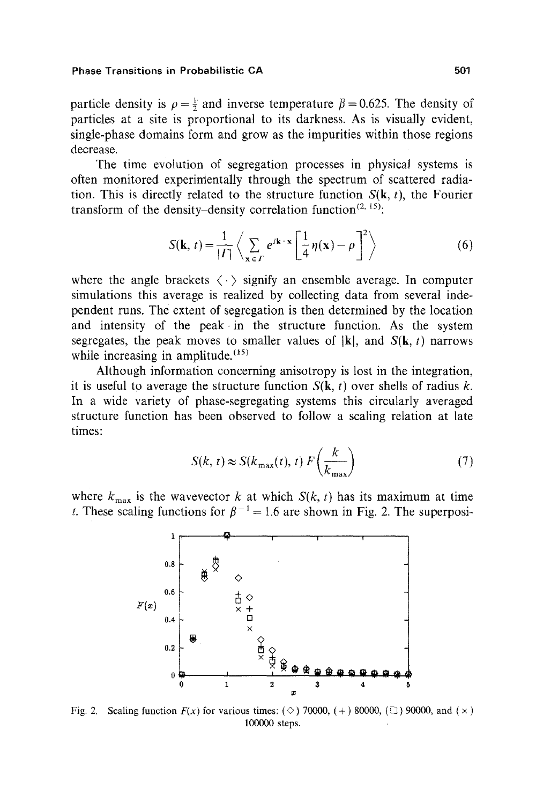particle density is  $\rho = \frac{1}{2}$  and inverse temperature  $\beta = 0.625$ . The density of particles at a site is proportional to its darkness. As is visually evident, single-phase domains form and grow as the impurities within those regions decrease.

The time evolution of segregation processes in physical systems is often monitored experinientally through the spectrum of scattered radiation. This is directly related to the structure function  $S(k, t)$ , the Fourier transform of the density-density correlation function<sup>(2, 15)</sup>:

$$
S(\mathbf{k}, t) = \frac{1}{|I|} \left\langle \sum_{\mathbf{x} \in I} e^{i\mathbf{k} \cdot \mathbf{x}} \left[ \frac{1}{4} \eta(\mathbf{x}) - \rho \right]^2 \right\rangle
$$
 (6)

where the angle brackets  $\langle \cdot \rangle$  signify an ensemble average. In computer simulations this average is realized by collecting data from several independent runs. The extent of segregation is then determined by the location and intensity of the peak in the structure function. As the system segregates, the peak moves to smaller values of  $|\mathbf{k}|$ , and  $S(\mathbf{k}, t)$  narrows while increasing in amplitude.  $(15)$ 

Although information concerning anisotropy is lost in the integration, it is useful to average the structure function  $S(k, t)$  over shells of radius k. In a wide variety of phase-segregating systems this circularly averaged structure function has been observed to follow a scaling relation at late times:

$$
S(k, t) \approx S(k_{\text{max}}(t), t) F\left(\frac{k}{k_{\text{max}}}\right) \tag{7}
$$

where  $k_{\text{max}}$  is the wavevector k at which  $S(k, t)$  has its maximum at time t. These scaling functions for  $\beta^{-1} = 1.6$  are shown in Fig. 2. The superposi-



Fig. 2. Scaling function  $F(x)$  for various times: ( $\diamond$ ) 70000, (+) 80000, ( $\square$ ) 90000, and ( $\times$ ) 100000 steps.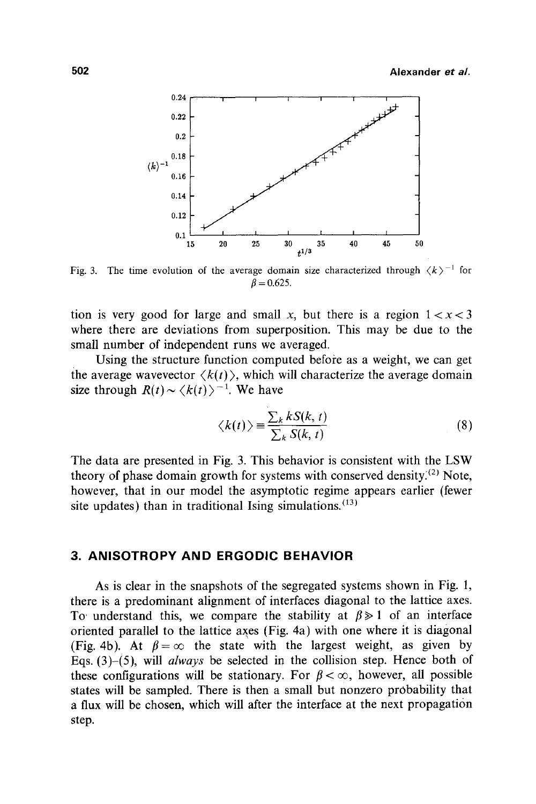

Fig. 3. The time evolution of the average domain size characterized through  $\langle k \rangle$ <sup>-1</sup> for  $\beta = 0.625$ .

tion is very good for large and small x, but there is a region  $1 < x < 3$ where there are deviations from superposition. This may be due to the small number of independent runs we averaged.

Using the structure function computed before as a weight, we can get the average wavevector  $\langle k(t) \rangle$ , which will characterize the average domain size through  $R(t) \sim \langle k(t) \rangle^{-1}$ . We have

$$
\langle k(t) \rangle \equiv \frac{\sum_{k} k S(k, t)}{\sum_{k} S(k, t)}
$$
(8)

The data are presented in Fig. 3. This behavior is consistent with the LSW theory of phase domain growth for systems with conserved density.<sup>(2)</sup> Note, however, that in our model the asymptotic regime appears earlier (fewer site updates) than in traditional Ising simulations.  $(13)$ 

# **3. ANISOTROPY AND ERGODIC BEHAVIOR**

As is clear in the snapshots of the segregated systems shown in Fig. l, there is a predominant alignment of interfaces diagonal to the lattice axes. To understand this, we compare the stability at  $\beta \geq 1$  of an interface oriented parallel to the lattice axes (Fig. 4a) with one where it is diagonal (Fig. 4b). At  $\beta = \infty$  the state with the largest weight, as given by Eqs. (3)-(5), will *always* be selected in the collision step. Hence both of these configurations will be stationary. For  $\beta < \infty$ , however, all possible states will be sampled. There is then a small but nonzero probability that a flux will be chosen, which will after the interface at the next propagation step.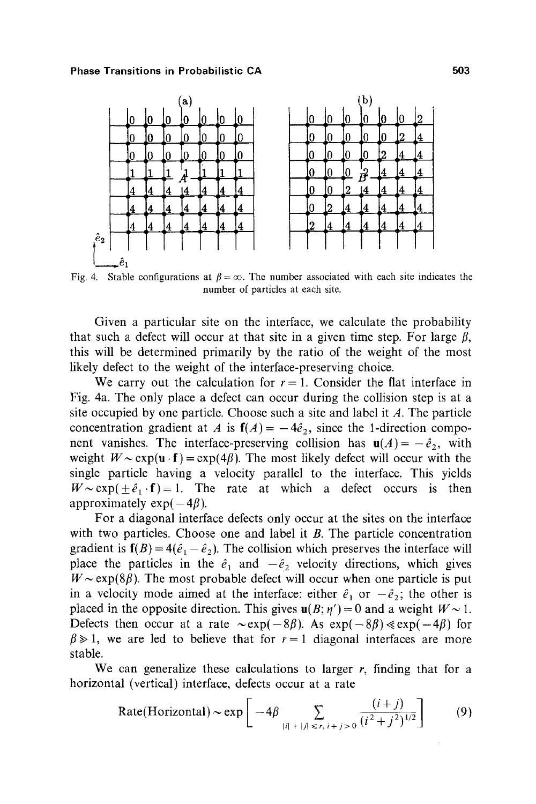

Fig. 4. Stable configurations at  $\beta = \infty$ . The number associated with each site indicates the number of particles at each site.

Given a particular site on the interface, we calculate the probability that such a defect will occur at that site in a given time step. For large  $\beta$ , this will be determined primarily by the ratio of the weight of the most likely defect to the weight of the interface-preserving choice.

We carry out the calculation for  $r = 1$ . Consider the flat interface in Fig. 4a. The only place a defect can occur during the collision step is at a site occupied by one particle. Choose such a site and label it  $A$ . The particle concentration gradient at A is  $f(A) = -4\hat{e}_2$ , since the 1-direction component vanishes. The interface-preserving collision has  $u(A) = -\hat{e}_2$ , with weight  $W \sim \exp(u \cdot f) = \exp(4\beta)$ . The most likely defect will occur with the single particle having a velocity parallel to the interface. This yields  $W \sim \exp(\pm \hat{e}_1 \cdot \mathbf{f})=1$ . The rate at which a defect occurs is then approximately  $exp(-4\beta)$ .

For a diagonal interface defects only occur at the sites on the interface with two particles. Choose one and label it  $B$ . The particle concentration gradient is  $f(B) = 4(\hat{e}_1 - \hat{e}_2)$ . The collision which preserves the interface will place the particles in the  $\hat{e}_1$  and  $-\hat{e}_2$  velocity directions, which gives  $W \sim \exp(8\beta)$ . The most probable defect will occur when one particle is put in a velocity mode aimed at the interface: either  $\hat{e}_1$  or  $-\hat{e}_2$ ; the other is placed in the opposite direction. This gives  $u(B; \eta') = 0$  and a weight  $W \sim 1$ . Defects then occur at a rate  $\sim \exp(-8\beta)$ . As  $\exp(-8\beta) \ll \exp(-4\beta)$  for  $\beta \ge 1$ , we are led to believe that for  $r = 1$  diagonal interfaces are more stable.

We can generalize these calculations to larger  $r$ , finding that for a horizontal (vertical) interface, defects occur at a rate

Rate(Horizontal) ~ exp
$$
\left[-4\beta \sum_{|i|+|j| \le r, i+j>0} \frac{(i+j)}{(i^2+j^2)^{1/2}}\right]
$$
 (9)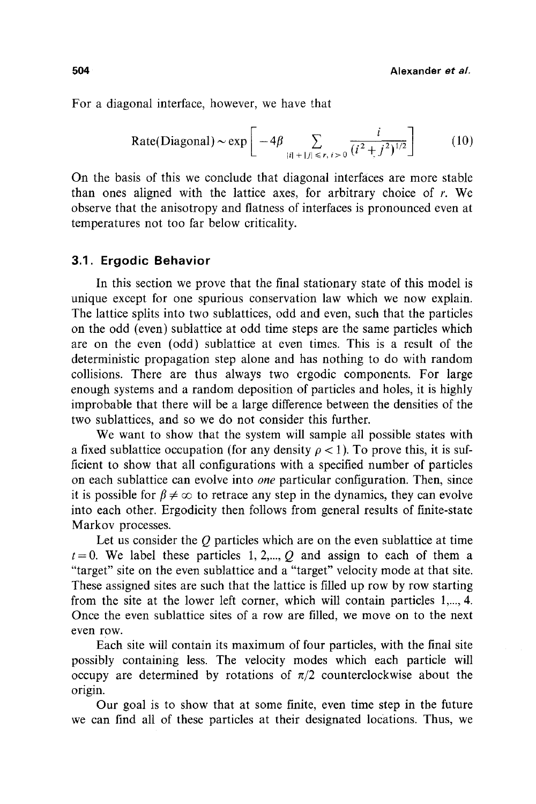For a diagonal interface, however, we have that

Rate(Diagonal) ~ exp 
$$
\left[-4\beta \sum_{|i|+|j| \le r, i>0} \frac{i}{(i^2+j^2)^{1/2}}\right]
$$
 (10)

On the basis of this we conclude that diagonal interfaces are more stable than ones aligned with the lattice axes, for arbitrary choice of r. We observe that the anisotropy and flatness of interfaces is pronounced even at temperatures not too far below criticality.

#### **3.1. Ergodic Behavior**

In this section we prove that the final stationary state of this model is unique except for one spurious conservation law which we now explain. The lattice splits into two sublattices, odd and even, such that the particles on the odd (even) sublattice at odd time steps are the same particles which are on the even (odd) sublattice at even times. This is a result of the deterministic propagation step alone and has nothing to do with random collisions. There are thus always two ergodic components. For large enough systems and a random deposition of particles and holes, it is highly improbable that there will be a large difference between the densities of the two sublattices, and so we do not consider this further.

We want to show that the system will sample all possible states with a fixed sublattice occupation (for any density  $\rho < 1$ ). To prove this, it is sufficient to show that all configurations with a specified number of particles on each sublattice can evolve into *one* particular configuration. Then, since it is possible for  $\beta \neq \infty$  to retrace any step in the dynamics, they can evolve into each other. Ergodicity then follows from general results of finite-state Markov processes.

Let us consider the  $Q$  particles which are on the even sublattice at time  $t=0$ . We label these particles 1, 2,..., Q and assign to each of them a "target" site on the even sublattice and a "target" velocity mode at that site. These assigned sites are such that the lattice is filled up row by row starting from the site at the lower left corner, which will contain particles 1,..., 4. Once the even sublattice sites of a row are filled, we move on to the next even row.

Each site will contain its maximum of four particles, with the final site possibly containing less. The velocity modes which each particle will occupy are determined by rotations of  $\pi/2$  counterclockwise about the origin.

Our goal is to show that at some finite, even time step in the future we can find all of these particles at their designated locations. Thus, we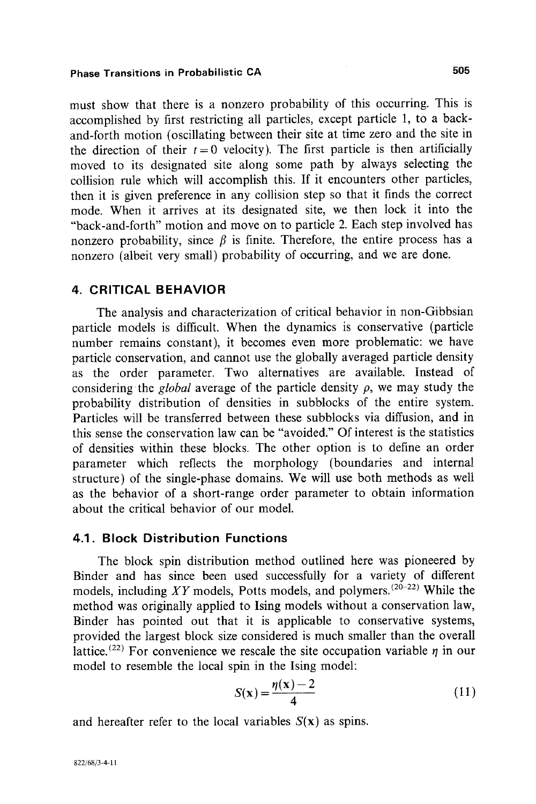must show that there is a nonzero probability of this occurring. This is accomplished by first restricting all particles, except particle 1, to a backand-forth motion (oscillating between their site at time zero and the site in the direction of their  $t = 0$  velocity). The first particle is then artificially moved to its designated site along some path by always selecting the collision rule which will accomplish this. If it encounters other particles, then it is given preference in any collision step so that it finds the correct mode. When it arrives at its designated site, we then lock it into the "back-and-forth" motion and move on to particle 2. Each step involved has nonzero probability, since  $\beta$  is finite. Therefore, the entire process has a nonzero (albeit very small) probability of occurring, and we are done.

# **4. CRITICAL BEHAVIOR**

The analysis and characterization of critical behavior in non-Gibbsian particle models is difficult. When the dynamics is conservative (particle number remains constant), it becomes even more problematic: we have particle conservation, and cannot use the globally averaged particle density as the order parameter. Two alternatives are available. Instead of considering the *global* average of the particle density  $\rho$ , we may study the probability distribution of densities in subblocks of the entire system. Particles will be transferred between these subblocks via diffusion, and in this sense the conservation law can be "avoided." Of interest is the statistics of densities within these blocks. The other option is to define an order parameter which reflects the morphology (boundaries and interna! structure) of the single-phase domains. We will use both methods as well as the behavior of a short-range order parameter to obtain information about the critical behavior of our model.

# **4.1. Block Distribution Functions**

The block spin distribution method outlined here was pioneered by Binder and has since been used successfully for a variety of different models, including  $XY$  models, Potts models, and polymers.<sup>(20-22)</sup> While the method was originally applied to Ising models without a conservation law, Binder has pointed out that it is applicable to conservative systems, provided the largest block size considered is much smaller than the overall lattice.<sup>(22)</sup> For convenience we rescale the site occupation variable  $\eta$  in our model to resemble the local spin in the Ising model:

$$
S(\mathbf{x}) = \frac{\eta(\mathbf{x}) - 2}{4} \tag{11}
$$

and hereafter refer to the local variables  $S(x)$  as spins.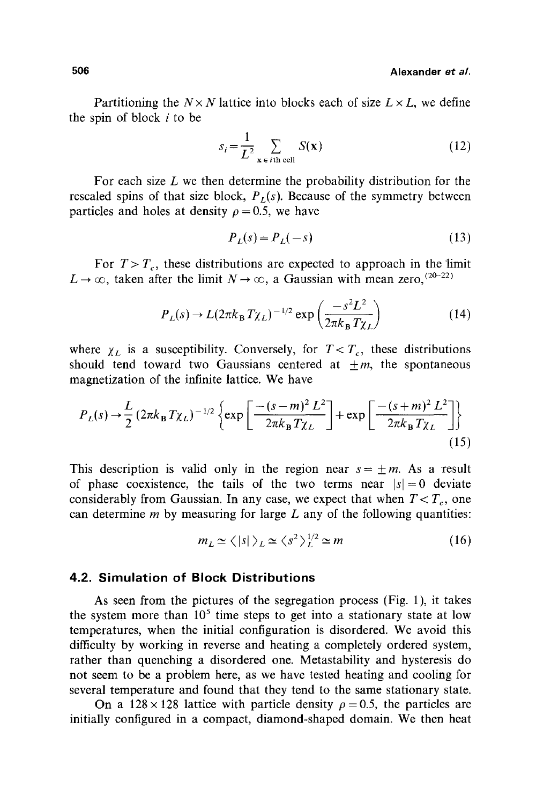Partitioning the  $N \times N$  lattice into blocks each of size  $L \times L$ , we define the spin of block  $i$  to be

$$
s_i = \frac{1}{L^2} \sum_{\mathbf{x} \in i\text{th cell}} S(\mathbf{x})
$$
 (12)

For each size  $L$  we then determine the probability distribution for the rescaled spins of that size block,  $P<sub>L</sub>(s)$ . Because of the symmetry between particles and holes at density  $\rho = 0.5$ , we have

$$
P_L(s) = P_L(-s) \tag{13}
$$

For  $T > T_c$ , these distributions are expected to approach in the limit  $L \rightarrow \infty$ , taken after the limit  $N \rightarrow \infty$ , a Gaussian with mean zero, (20-22)

$$
P_L(s) \to L(2\pi k_\mathrm{B} T \chi_L)^{-1/2} \exp\left(\frac{-s^2 L^2}{2\pi k_\mathrm{B} T \chi_L}\right) \tag{14}
$$

where  $\chi_L$  is a susceptibility. Conversely, for  $T < T_c$ , these distributions should tend toward two Gaussians centered at  $\pm m$ , the spontaneous magnetization of the infinite lattice. We have

$$
P_{L}(s) \rightarrow \frac{L}{2} (2\pi k_{\rm B} T \chi_{L})^{-1/2} \left\{ \exp \left[ \frac{-(s-m)^{2} L^{2}}{2\pi k_{\rm B} T \chi_{L}} \right] + \exp \left[ \frac{-(s+m)^{2} L^{2}}{2\pi k_{\rm B} T \chi_{L}} \right] \right\}
$$
(15)

This description is valid only in the region near  $s = \pm m$ . As a result of phase coexistence, the tails of the two terms near  $|s| = 0$  deviate considerably from Gaussian. In any case, we expect that when  $T < T_c$ , one can determine  $m$  by measuring for large  $L$  any of the following quantities:

$$
m_L \simeq \langle |s| \rangle_L \simeq \langle s^2 \rangle_L^{1/2} \simeq m \tag{16}
$$

# **4.2. Simulation of Block Distributions**

As seen from the pictures of the segregation process (Fig. 1), it takes the system more than  $10^5$  time steps to get into a stationary state at low temperatures, when the initial configuration is disordered. We avoid this difficulty by working in reverse and heating a completely ordered system, rather than quenching a disordered one. Metastability and hysteresis do not seem to be a problem here, as we have tested heating and cooling for several temperature and found that they tend to the same stationary state.

On a  $128 \times 128$  lattice with particle density  $\rho = 0.5$ , the particles are initially configured in a compact, diamond-shaped domain. We then heat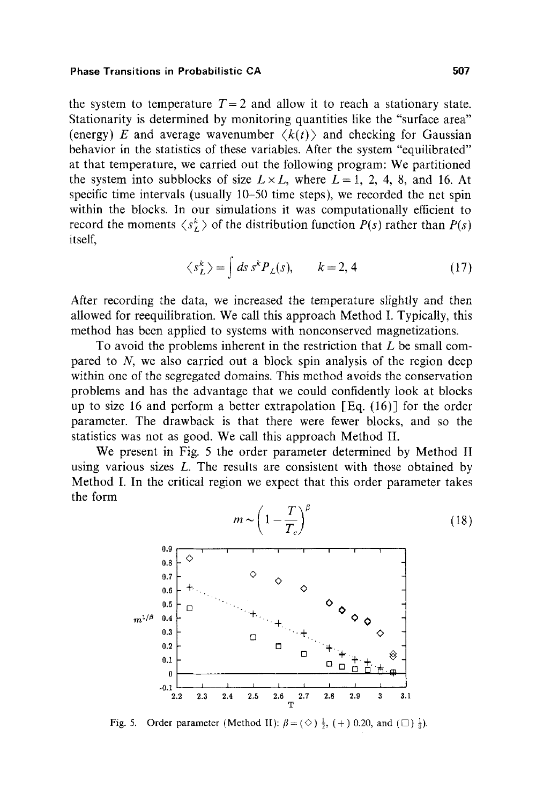the system to temperature  $T=2$  and allow it to reach a stationary state. Stationarity is determined by monitoring quantities like the "surface area" (energy) E and average wavenumber  $\langle k(t) \rangle$  and checking for Gaussian behavior in the statistics of these variables. After the system "equilibrated" at that temperature, we carried out the following program: We partitioned the system into subblocks of size  $L \times L$ , where  $L = 1, 2, 4, 8$ , and 16. At specific time intervals (usually 10-50 time steps), we recorded the net spin within the blocks. In our simulations it was computationally efficient to record the moments  $\langle s_L^k \rangle$  of the distribution function *P(s)* rather than *P(s)* itself,

$$
\langle s_L^k \rangle = \int ds \, s^k P_L(s), \qquad k = 2, 4 \tag{17}
$$

After recording the data, we increased the temperature slightly and then allowed for reequilibration. We call this approach Method I. Typically, this method has been applied to systems with nonconserved magnetizations.

To avoid the problems inherent in the restriction that L be small compared to N, we also carried out a block spin analysis of the region deep within one of the segregated domains. This method avoids the conservation problems and has the advantage that we could confidently look at blocks up to size 16 and perform a better extrapolation  $\lceil \text{Eq. (16)} \rceil$  for the order parameter. The drawback is that there were fewer blocks, and so the statistics was not as good. We call this approach Method II.

We present in Fig. 5 the order parameter determined by Method II using various sizes  $L$ . The results are consistent with those obtained by Method I. In the critical region we expect that this order parameter takes the form



Fig. 5. Order parameter (Method II):  $\beta = (\Diamond) \frac{1}{2}$ , (+) 0.20, and ( $\Box$ )  $\frac{1}{8}$ ).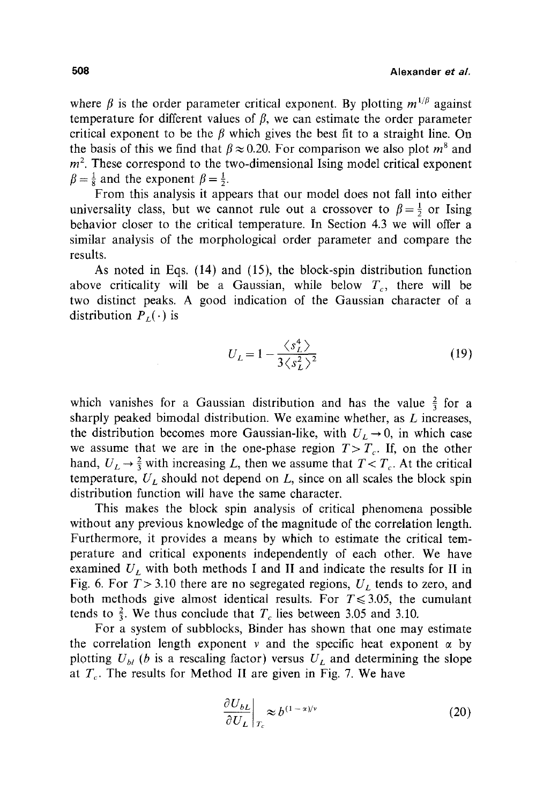where  $\beta$  is the order parameter critical exponent. By plotting  $m^{1/\beta}$  against temperature for different values of  $\beta$ , we can estimate the order parameter critical exponent to be the  $\beta$  which gives the best fit to a straight line. On the basis of this we find that  $\beta \approx 0.20$ . For comparison we also plot  $m^8$  and  $m<sup>2</sup>$ . These correspond to the two-dimensional Ising model critical exponent  $\beta = \frac{1}{8}$  and the exponent  $\beta = \frac{1}{2}$ .

From this analysis it appears that our model does not fall into either universality class, but we cannot rule out a crossover to  $\beta = \frac{1}{2}$  or Ising behavior closer to the critical temperature. In Section 4.3 we will offer a similar analysis of the morphological order parameter and compare the results.

As noted in Eqs. (14) and (15), the block-spin distribution function above criticality will be a Gaussian, while below  $T_c$ , there will be two distinct peaks. A good indication of the Gaussian character of a distribution  $P_{I}(\cdot)$  is

$$
U_L = 1 - \frac{\langle s_L^4 \rangle}{3 \langle s_R^2 \rangle^2}
$$
 (19)

which vanishes for a Gaussian distribution and has the value  $\frac{2}{3}$  for a sharply peaked bimodal distribution. We examine whether, as  $L$  increases, the distribution becomes more Gaussian-like, with  $U_L \rightarrow 0$ , in which case we assume that we are in the one-phase region  $T>T_c$ . If, on the other hand,  $U_L \rightarrow \frac{2}{3}$  with increasing L, then we assume that  $T < T_c$ . At the critical temperature,  $U_L$  should not depend on L, since on all scales the block spin distribution function will have the same character.

This makes the block spin analysis of critical phenomena possible without any previous knowledge of the magnitude of the correlation length. Furthermore, it provides a means by which to estimate the critical temperature and critical exponents independently of each other. We have examined  $U_L$  with both methods I and II and indicate the results for II in Fig. 6. For  $T > 3.10$  there are no segregated regions,  $U_L$  tends to zero, and both methods give almost identical results. For  $T \le 3.05$ , the cumulant tends to  $\frac{2}{3}$ . We thus conclude that  $T_c$  lies between 3.05 and 3.10.

For a system of subblocks, Binder has shown that one may estimate the correlation length exponent v and the specific heat exponent  $\alpha$  by plotting  $U_{bl}$  (b is a rescaling factor) versus  $U_L$  and determining the slope at  $T_c$ . The results for Method II are given in Fig. 7. We have

$$
\left. \frac{\partial U_{bL}}{\partial U_L} \right|_{T_c} \approx b^{(1-\alpha)/\nu} \tag{20}
$$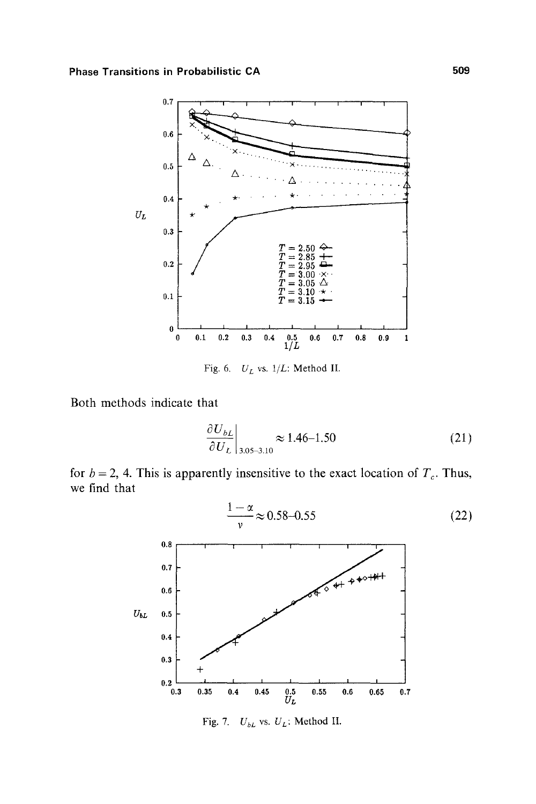

Fig. 6. *U L* vs. *1/L:* Method II.

Both methods indicate that

$$
\left. \frac{\partial U_{bL}}{\partial U_L} \right|_{3.05-3.10} \approx 1.46-1.50 \tag{21}
$$

for  $b = 2$ , 4. This is apparently insensitive to the exact location of  $T_c$ . Thus, we find that



Fig. 7. *UbL* VS. *UL:* Method II.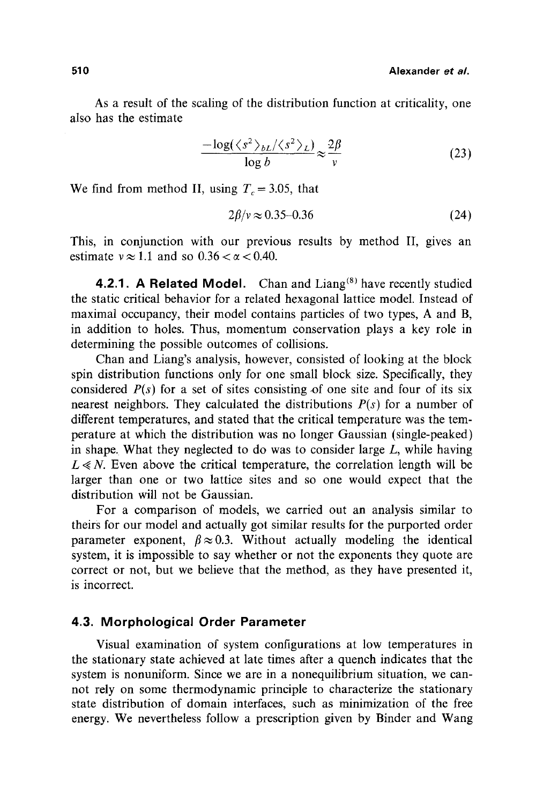As a result of the scaling of the distribution function at criticality, one also has the estimate

$$
\frac{-\log(\langle s^2 \rangle_{bL}/\langle s^2 \rangle_L)}{\log b} \approx \frac{2\beta}{v} \tag{23}
$$

We find from method II, using  $T_c = 3.05$ , that

$$
2\beta/\nu \approx 0.35-0.36\tag{24}
$$

This, in conjunction with our previous results by method II, gives an estimate  $v \approx 1.1$  and so  $0.36 < \alpha < 0.40$ .

4.2.1. A Related Model. Chan and Liang<sup>(8)</sup> have recently studied the static critical behavior for a related hexagonal lattice model. Instead of maximal occupancy, their model contains particles of two types, A and B, in addition to holes. Thus, momentum conservation plays a key role in determining the possible outcomes of collisions,

Chan and Liang's analysis, however, consisted of looking at the block spin distribution functions only for one small block size. Specifically, they considered  $P(s)$  for a set of sites consisting of one site and four of its six nearest neighbors. They calculated the distributions *P(s)* for a number of different temperatures, and stated that the critical temperature was the temperature at which the distribution was no longer Gaussian (single-peaked) in shape. What they neglected to do was to consider large  $L$ , while having  $L \ll N$ . Even above the critical temperature, the correlation length will be larger than one or two lattice sites and so one would expect that the distribution will not be Gaussian.

For a comparison of models, we carried out an analysis similar to theirs for our model and actually got similar results for the purported order parameter exponent,  $\beta \approx 0.3$ . Without actually modeling the identical system, it is impossible to say whether or not the exponents they quote are correct or not, but we believe that the method, as they have presented it, is incorrect.

# **4.3. Morphological Order Parameter**

Visual examination of system configurations at low temperatures in the stationary state achieved at late times after a quench indicates that the system is nonuniform. Since we are in a nonequilibrium situation, we cannot rely on some thermodynamic principle to characterize the stationary state distribution of domain interfaces, such as minimization of the free energy. We nevertheless follow a prescription given by Binder and Wang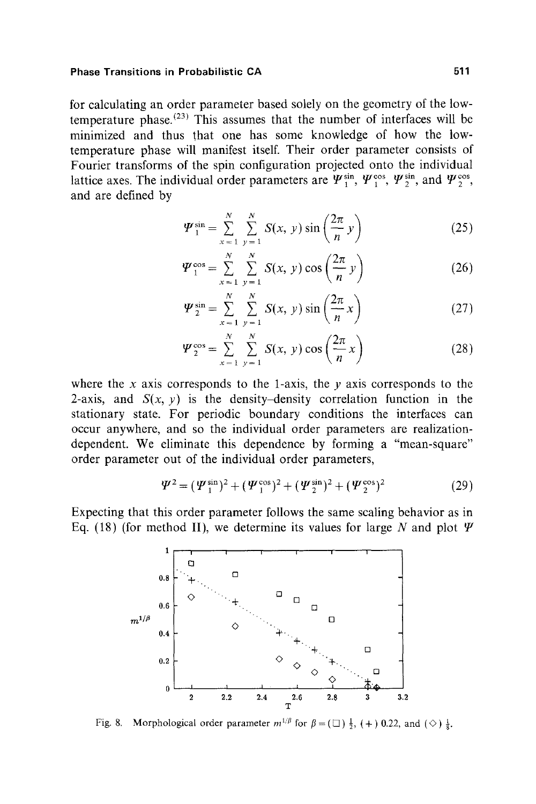**for calculating an order parameter based solely on the geometry of the low** $t$ emperature phase.<sup> $(23)$ </sup> This assumes that the number of interfaces will be **minimized and thus that one has some knowledge of how the lowtemperature phase will manifest itself. Their order parameter consists of Fourier transforms of the spin configuration projected onto the individual**  lattice axes. The individual order parameters are  $\Psi_1^{\sin}$ ,  $\Psi_1^{\cos}$ ,  $\Psi_2^{\sin}$ , and  $\Psi_2^{\cos}$ , **and are defined by** 

$$
\Psi_{1}^{\sin} = \sum_{x=1}^{N} \sum_{y=1}^{N} S(x, y) \sin\left(\frac{2\pi}{n} y\right)
$$
 (25)

$$
\Psi_{1}^{\cos} = \sum_{x=1}^{N} \sum_{y=1}^{N} S(x, y) \cos\left(\frac{2\pi}{n} y\right)
$$
 (26)

$$
\Psi_{2}^{\sin} = \sum_{x=1}^{N} \sum_{y=1}^{N} S(x, y) \sin\left(\frac{2\pi}{n}x\right)
$$
 (27)

$$
\Psi_2^{\cos} = \sum_{x=1}^N \sum_{y=1}^N S(x, y) \cos\left(\frac{2\pi}{n}x\right) \tag{28}
$$

where the x axis corresponds to the 1-axis, the  $y$  axis corresponds to the 2-axis, and  $S(x, y)$  is the density-density correlation function in the **stationary state. For periodic boundary conditions the interfaces can occur anywhere, and so the individual order parameters are realizationdependent. We eliminate this dependence by forming a "mean-square" order parameter out of the individual order parameters,** 

$$
\Psi^2 = (\Psi_1^{\sin})^2 + (\Psi_1^{\cos})^2 + (\Psi_2^{\sin})^2 + (\Psi_2^{\cos})^2 \tag{29}
$$

**Expecting that this order parameter follows the same scaling behavior as in**  Eq. (18) (for method II), we determine its values for large N and plot  $\Psi$ 



Fig. 8. Morphological order parameter  $m^{1/\beta}$  for  $\beta = (\square) \frac{1}{2}$ , (+) 0.22, and ( $\diamond$ )  $\frac{1}{2}$ .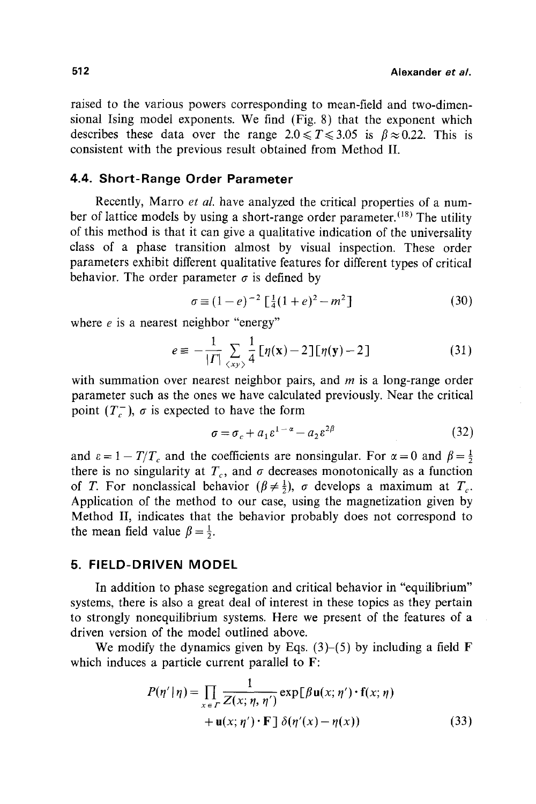raised to the various powers corresponding to mean-field and two-dimensional Ising model exponents. We find (Fig. 8) that the exponent which describes these data over the range  $2.0 \le T \le 3.05$  is  $\beta \approx 0.22$ . This is consistent with the previous result obtained from Method II.

# **4.4. Short-Range Order Parameter**

Recently, Marro *et al.* have analyzed the critical properties of a number of lattice models by using a short-range order parameter.<sup>(18)</sup> The utility of this method is that it can give a qualitative indication of the universality class of a phase transition almost by visual inspection. These order parameters exhibit different qualitative features for different types of critical behavior. The order parameter  $\sigma$  is defined by

$$
\sigma \equiv (1 - e)^{-2} \left[ \frac{1}{4} (1 + e)^2 - m^2 \right] \tag{30}
$$

where *e* is a nearest neighbor "energy"

$$
e \equiv -\frac{1}{|\Gamma|} \sum_{\langle xy \rangle} \frac{1}{4} \left[ \eta(\mathbf{x}) - 2 \right] \left[ \eta(\mathbf{y}) - 2 \right] \tag{31}
$$

with summation over nearest neighbor pairs, and  $m$  is a long-range order parameter such as the ones we have calculated previously. Near the critical point  $(T_c^-)$ ,  $\sigma$  is expected to have the form

$$
\sigma = \sigma_c + a_1 \varepsilon^{1-\alpha} - a_2 \varepsilon^{2\beta} \tag{32}
$$

and  $\varepsilon = 1 - T/T_c$  and the coefficients are nonsingular. For  $\alpha = 0$  and  $\beta = \frac{1}{2}$ there is no singularity at  $T_c$ , and  $\sigma$  decreases monotonically as a function of T. For nonclassical behavior  $(\beta \neq \frac{1}{2})$ ,  $\sigma$  develops a maximum at  $T_c$ . Application of the method to our case, using the magnetization given by Method II, indicates that the behavior probably does not correspond to the mean field value  $\beta = \frac{1}{2}$ .

# **5. FIELD-DRIVEN MODEL**

In addition to phase segregation and critical behavior in "equilibrium" systems, there is also a great deal of interest in these topics as they pertain to strongly nonequilibrium systems. Here we present of the features of a driven version of the model outlined above.

We modify the dynamics given by Eqs.  $(3)$ – $(5)$  by including a field F which induces a particle current parallel to F:

$$
P(\eta' | \eta) = \prod_{x \in \Gamma} \frac{1}{Z(x; \eta, \eta')} \exp[\beta \mathbf{u}(x; \eta') \cdot \mathbf{f}(x; \eta) + \mathbf{u}(x; \eta') \cdot \mathbf{F}] \delta(\eta'(x) - \eta(x)) \tag{33}
$$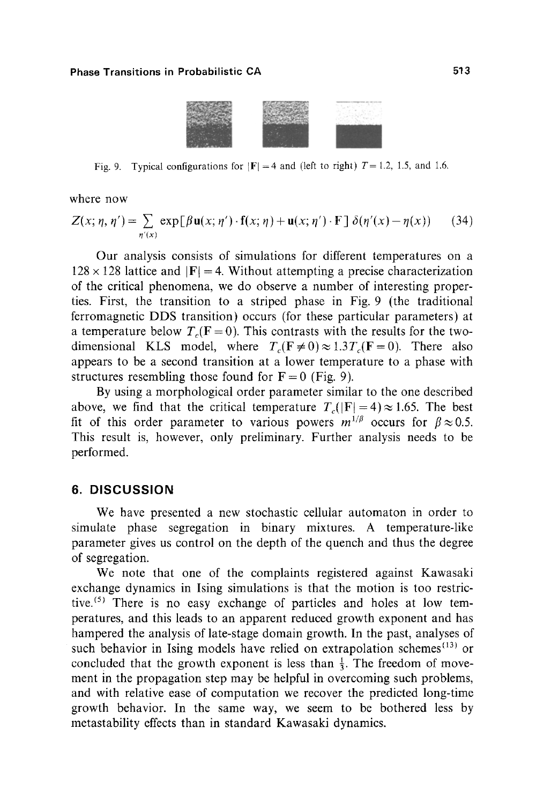

Fig. 9. Typical configurations for  $|F| = 4$  and (left to right)  $T = 1.2$ , 1.5, and 1.6.

where now

$$
Z(x; \eta, \eta') = \sum_{\eta'(x)} \exp[\beta \mathbf{u}(x; \eta') \cdot \mathbf{f}(x; \eta) + \mathbf{u}(x; \eta') \cdot \mathbf{F}] \delta(\eta'(x) - \eta(x)) \qquad (34)
$$

Our analysis consists of simulations for different temperatures on a  $128 \times 128$  lattice and  $|F| = 4$ . Without attempting a precise characterization of the critical phenomena, we do observe a number of interesting properties. First, the transition to a striped phase in Fig. 9 (the traditional ferromagnetic DDS transition) occurs (for these particular parameters) at a temperature below  $T_c$ (F = 0). This contrasts with the results for the twodimensional KLS model, where  $T_c(F \neq 0) \approx 1.3T_c(F=0)$ . There also appears to be a second transition at a lower temperature to a phase with structures resembling those found for  $F = 0$  (Fig. 9).

By using a morphological order parameter similar to the one described above, we find that the critical temperature  $T_c(|F| = 4) \approx 1.65$ . The best fit of this order parameter to various powers  $m^{1/\beta}$  occurs for  $\beta \approx 0.5$ . This result is, however, only preliminary. Further analysis needs to be performed.

#### **6. DISCUSSION**

We have presented a new stochastic cellular automaton in order to simulate phase segregation in binary mixtures. A temperature-like parameter gives us control on the depth of the quench and thus the degree of segregation.

We note that one of the complaints registered against Kawasaki exchange dynamics in Ising simulations is that the motion is too restrictive.<sup> $(5)$ </sup> There is no easy exchange of particles and holes at low temperatures, and this leads to an apparent reduced growth exponent and has hampered the analysis of late-stage domain growth. In the past, analyses of such behavior in Ising models have relied on extrapolation schemes<sup> $(13)$ </sup> or concluded that the growth exponent is less than  $\frac{1}{3}$ . The freedom of movement in the propagation step may be helpful in overcoming such problems, and with relative ease of computation we recover the predicted long-time growth behavior. In the same way, we seem to be bothered less by metastability effects than in standard Kawasaki dynamics.